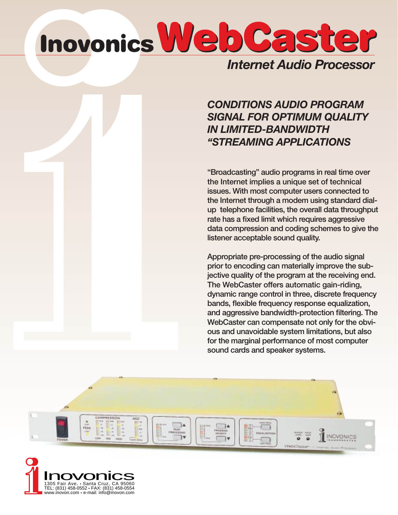# **WebCaster WebCaster Inovonics**

### *Internet Audio Processor*

### *CONDITIONS AUDIO PROGRAM SIGNAL FOR OPTIMUM QUALITY IN LIMITED-BANDWIDTH "STREAMING APPLICATIONS*

"Broadcasting" audio programs in real time over the Internet implies a unique set of technical issues. With most computer users connected to the Internet through a modem using standard dialup telephone facilities, the overall data throughput rate has a fixed limit which requires aggressive data compression and coding schemes to give the listener acceptable sound quality.

Appropriate pre-processing of the audio signal prior to encoding can materially improve the subjective quality of the program at the receiving end. The WebCaster offers automatic gain-riding, dynamic range control in three, discrete frequency bands, flexible frequency response equalization, and aggressive bandwidth-protection filtering. The WebCaster can compensate not only for the obvious and unavoidable system limitations, but also for the marginal performance of most computer sound cards and speaker systems.